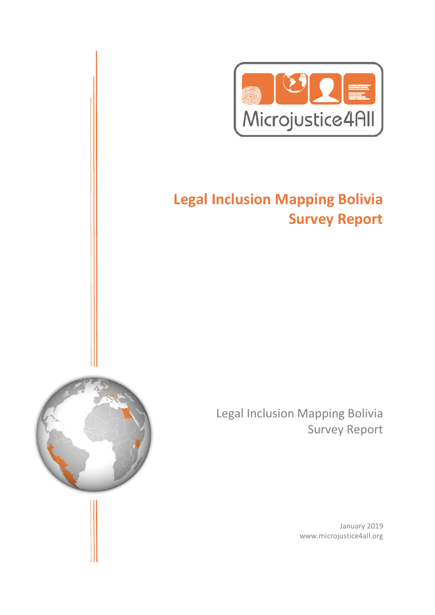

# **Legal Inclusion Mapping Bolivia Survey Report**



Legal Inclusion Mapping Bolivia Survey Report

> January 2019 www.microjustice4all.org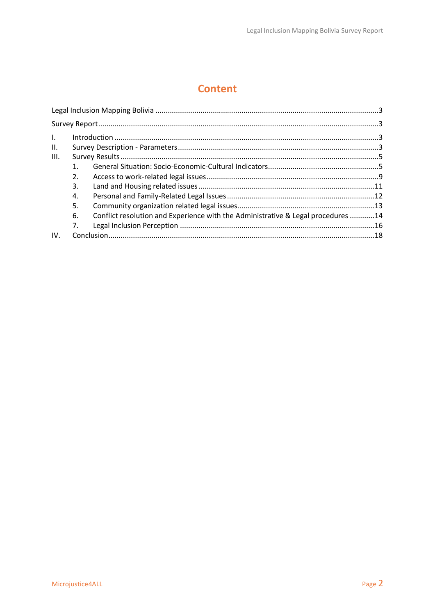### **Content**

| $\mathbf{L}$ |         |                                                                                  |  |
|--------------|---------|----------------------------------------------------------------------------------|--|
| П.           |         |                                                                                  |  |
| III.         |         |                                                                                  |  |
|              | $1_{-}$ |                                                                                  |  |
|              | 2.      |                                                                                  |  |
|              | 3.      |                                                                                  |  |
|              | 4.      |                                                                                  |  |
|              | 5.      |                                                                                  |  |
|              | 6.      | Conflict resolution and Experience with the Administrative & Legal procedures 14 |  |
|              | 7.      |                                                                                  |  |
| IV.          |         |                                                                                  |  |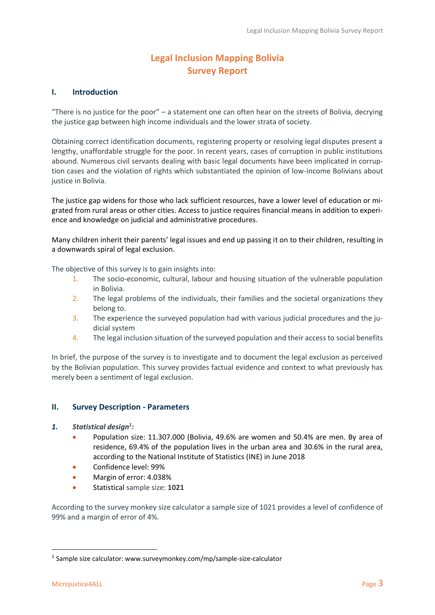### **Legal Inclusion Mapping Bolivia Survey Report**

#### <span id="page-2-2"></span><span id="page-2-1"></span><span id="page-2-0"></span>**I. Introduction**

"There is no justice for the poor" – a statement one can often hear on the streets of Bolivia, decrying the justice gap between high income individuals and the lower strata of society.

Obtaining correct identification documents, registering property or resolving legal disputes present a lengthy, unaffordable struggle for the poor. In recent years, cases of corruption in public institutions abound. Numerous civil servants dealing with basic legal documents have been implicated in corruption cases and the violation of rights which substantiated the opinion of low-income Bolivians about justice in Bolivia.

The justice gap widens for those who lack sufficient resources, have a lower level of education or migrated from rural areas or other cities. Access to justice requires financial means in addition to experience and knowledge on judicial and administrative procedures.

Many children inherit their parents' legal issues and end up passing it on to their children, resulting in a downwards spiral of legal exclusion.

The objective of this survey is to gain insights into:

- 1. The socio-economic, cultural, labour and housing situation of the vulnerable population in Bolivia.
- 2. The legal problems of the individuals, their families and the societal organizations they belong to.
- 3. The experience the surveyed population had with various judicial procedures and the judicial system
- 4. The legal inclusion situation of the surveyed population and their access to social benefits

In brief, the purpose of the survey is to investigate and to document the legal exclusion as perceived by the Bolivian population. This survey provides factual evidence and context to what previously has merely been a sentiment of legal exclusion.

#### <span id="page-2-3"></span>**II. Survey Description - Parameters**

- *1. Statistical design<sup>1</sup> :*
	- Population size: 11.307.000 (Bolivia, 49.6% are women and 50.4% are men. By area of residence, 69.4% of the population lives in the urban area and 30.6% in the rural area, according to the National Institute of Statistics (INE) in June 2018
	- Confidence level: 99%
	- Margin of error: 4.038%
	- Statistical sample size: **1021**

According to the survey monkey size calculator a sample size of 1021 provides a level of confidence of 99% and a margin of error of 4%.

 $\overline{a}$ 

<sup>&</sup>lt;sup>1</sup> Sample size calculator: www.surveymonkey.com/mp/sample-size-calculator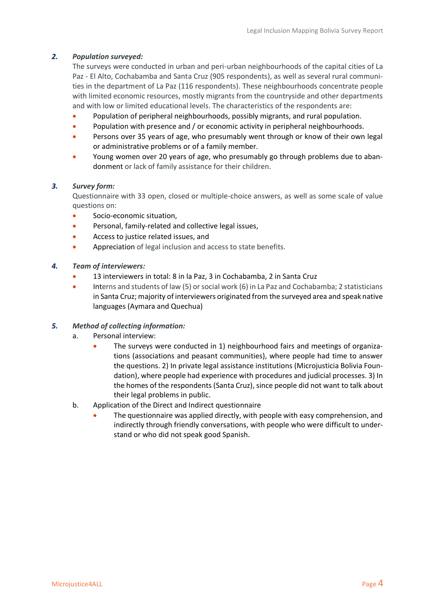#### *2. Population surveyed:*

The surveys were conducted in urban and peri-urban neighbourhoods of the capital cities of La Paz - El Alto, Cochabamba and Santa Cruz (905 respondents), as well as several rural communities in the department of La Paz (116 respondents). These neighbourhoods concentrate people with limited economic resources, mostly migrants from the countryside and other departments and with low or limited educational levels. The characteristics of the respondents are:

- Population of peripheral neighbourhoods, possibly migrants, and rural population.
- Population with presence and / or economic activity in peripheral neighbourhoods.
- Persons over 35 years of age, who presumably went through or know of their own legal or administrative problems or of a family member.
- Young women over 20 years of age, who presumably go through problems due to abandonment or lack of family assistance for their children.

#### *3. Survey form:*

Questionnaire with 33 open, closed or multiple-choice answers, as well as some scale of value questions on:

- Socio-economic situation,
- Personal, family-related and collective legal issues,
- Access to justice related issues, and
- Appreciation of legal inclusion and access to state benefits.
- *4. Team of interviewers:*
	- 13 interviewers in total: 8 in la Paz, 3 in Cochabamba, 2 in Santa Cruz
	- Interns and students of law (5) or social work (6) in La Paz and Cochabamba; 2 statisticians in Santa Cruz; majority of interviewers originated from the surveyed area and speak native languages (Aymara and Quechua)

#### *5. Method of collecting information:*

- a. Personal interview:
	- The surveys were conducted in 1) neighbourhood fairs and meetings of organizations (associations and peasant communities), where people had time to answer the questions. 2) In private legal assistance institutions (Microjusticia Bolivia Foundation), where people had experience with procedures and judicial processes. 3) In the homes of the respondents (Santa Cruz), since people did not want to talk about their legal problems in public.
- b. Application of the Direct and Indirect questionnaire
	- The questionnaire was applied directly, with people with easy comprehension, and indirectly through friendly conversations, with people who were difficult to understand or who did not speak good Spanish.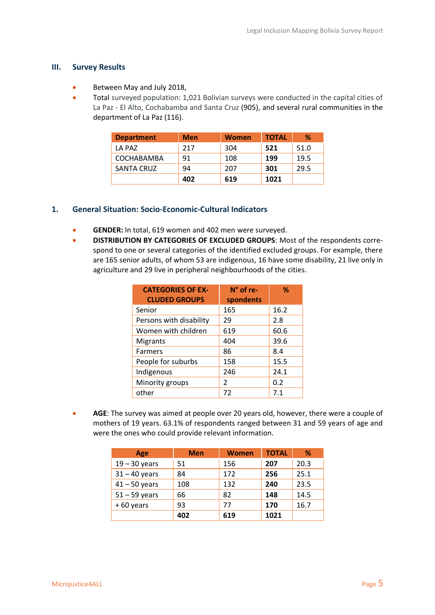#### <span id="page-4-0"></span>**III. Survey Results**

- Between May and July 2018,
- Total surveyed population: 1,021 Bolivian surveys were conducted in the capital cities of La Paz - El Alto, Cochabamba and Santa Cruz (905), and several rural communities in the department of La Paz (116).

| <b>Department</b> | <b>Men</b> | <b>Women</b> | <b>TOTAL</b> | %    |
|-------------------|------------|--------------|--------------|------|
| LA PAZ            | 217        | 304          | 521          | 51.0 |
| COCHABAMBA        | 91         | 108          | 199          | 19.5 |
| <b>SANTA CRUZ</b> | 94         | 207          | 301          | 29.5 |
|                   | 402        | 619          | 1021         |      |

#### <span id="page-4-1"></span>**1. General Situation: Socio-Economic-Cultural Indicators**

- **GENDER:** In total, 619 women and 402 men were surveyed.
- **DISTRIBUTION BY CATEGORIES OF EXCLUDED GROUPS**: Most of the respondents correspond to one or several categories of the identified excluded groups. For example, there are 165 senior adults, of whom 53 are indigenous, 16 have some disability, 21 live only in agriculture and 29 live in peripheral neighbourhoods of the cities.

| <b>CATEGORIES OF EX-</b> | N° of re-     | %    |
|--------------------------|---------------|------|
| <b>CLUDED GROUPS</b>     | spondents     |      |
| Senior                   | 165           | 16.2 |
| Persons with disability  | 29            | 2.8  |
| Women with children      | 619           | 60.6 |
| <b>Migrants</b>          | 404           | 39.6 |
| Farmers                  | 86            | 8.4  |
| People for suburbs       | 158           | 15.5 |
| Indigenous               | 246           | 24.1 |
| Minority groups          | $\mathcal{P}$ | 0.2  |
| other                    | 72            | 7.1  |

• **AGE**: The survey was aimed at people over 20 years old, however, there were a couple of mothers of 19 years. 63.1% of respondents ranged between 31 and 59 years of age and were the ones who could provide relevant information.

| <b>Age</b>      | <b>Men</b> | <b>Women</b> | <b>TOTAL</b> | %    |
|-----------------|------------|--------------|--------------|------|
| $19 - 30$ years | 51         | 156          | 207          | 20.3 |
| $31 - 40$ years | 84         | 172          | 256          | 25.1 |
| $41 - 50$ years | 108        | 132          | 240          | 23.5 |
| $51 - 59$ years | 66         | 82           | 148          | 14.5 |
| $+60$ years     | 93         | 77           | 170          | 16.7 |
|                 | 402        | 619          | 1021         |      |